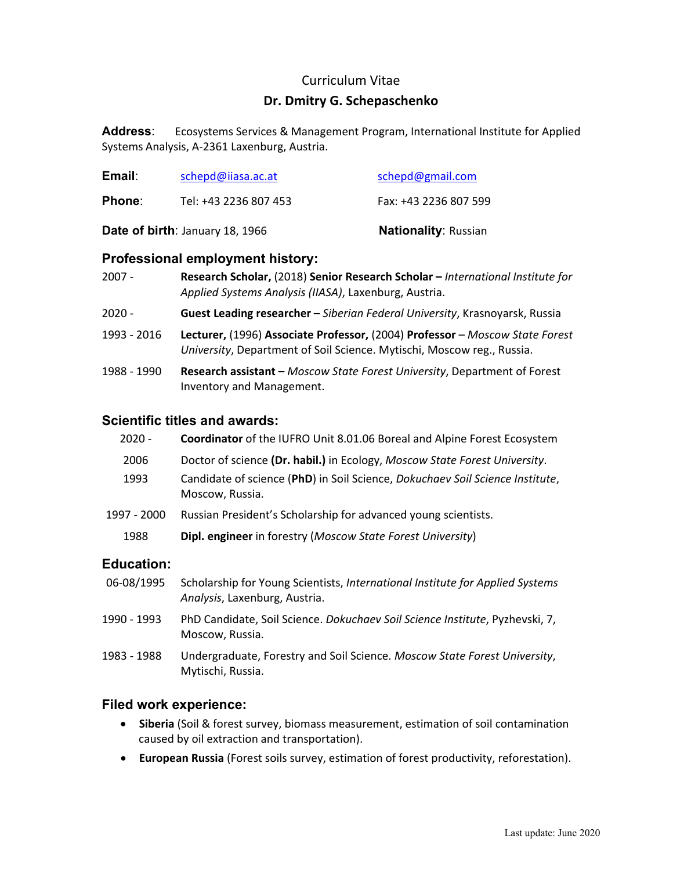## Curriculum Vitae

## **Dr. Dmitry G. Schepaschenko**

**Address**: Ecosystems Services & Management Program, International Institute for Applied Systems Analysis, A‐2361 Laxenburg, Austria.

| Date of birth: January 18, 1966 |                       | <b>Nationality: Russian</b> |
|---------------------------------|-----------------------|-----------------------------|
| Phone:                          | Tel: +43 2236 807 453 | Fax: +43 2236 807 599       |
| Email:                          | schepd@iiasa.ac.at    | schepd@gmail.com            |

## **Professional employment history:**

| Research Scholar, (2018) Senior Research Scholar - International Institute for<br>Applied Systems Analysis (IIASA), Laxenburg, Austria.                |  |
|--------------------------------------------------------------------------------------------------------------------------------------------------------|--|
| Guest Leading researcher - Siberian Federal University, Krasnoyarsk, Russia                                                                            |  |
| Lecturer, (1996) Associate Professor, (2004) Professor - Moscow State Forest<br>University, Department of Soil Science. Mytischi, Moscow reg., Russia. |  |
| Research assistant - Moscow State Forest University, Department of Forest<br>Inventory and Management.                                                 |  |
|                                                                                                                                                        |  |

## **Scientific titles and awards:**

| $2020 -$    | Coordinator of the IUFRO Unit 8.01.06 Boreal and Alpine Forest Ecosystem                         |
|-------------|--------------------------------------------------------------------------------------------------|
| 2006        | Doctor of science (Dr. habil.) in Ecology, Moscow State Forest University.                       |
| 1993        | Candidate of science (PhD) in Soil Science, Dokuchaev Soil Science Institute,<br>Moscow, Russia. |
| 1997 - 2000 | Russian President's Scholarship for advanced young scientists.                                   |
| 1988        | <b>Dipl. engineer</b> in forestry (Moscow State Forest University)                               |
|             |                                                                                                  |

## **Education:**

- 06‐08/1995 Scholarship for Young Scientists, *International Institute for Applied Systems Analysis*, Laxenburg, Austria.
- 1990 ‐ 1993 PhD Candidate, Soil Science. *Dokuchaev Soil Science Institute*, Pyzhevski, 7, Moscow, Russia.
- 1983 ‐ 1988 Undergraduate, Forestry and Soil Science. *Moscow State Forest University*, Mytischi, Russia.

#### **Filed work experience:**

- **Siberia** (Soil & forest survey, biomass measurement, estimation of soil contamination caused by oil extraction and transportation).
- **European Russia** (Forest soils survey, estimation of forest productivity, reforestation).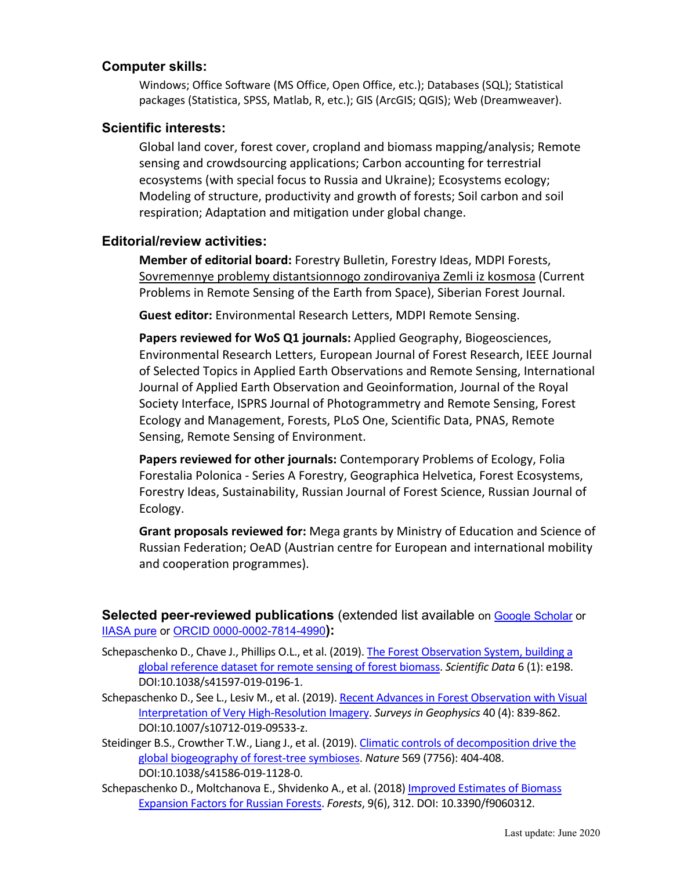## **Computer skills:**

Windows; Office Software (MS Office, Open Office, etc.); Databases (SQL); Statistical packages (Statistica, SPSS, Matlab, R, etc.); GIS (ArcGIS; QGIS); Web (Dreamweaver).

#### **Scientific interests:**

Global land cover, forest cover, cropland and biomass mapping/analysis; Remote sensing and crowdsourcing applications; Carbon accounting for terrestrial ecosystems (with special focus to Russia and Ukraine); Ecosystems ecology; Modeling of structure, productivity and growth of forests; Soil carbon and soil respiration; Adaptation and mitigation under global change.

## **Editorial/review activities:**

**Member of editorial board:** Forestry Bulletin, Forestry Ideas, MDPI Forests, Sovremennye problemy distantsionnogo zondirovaniya Zemli iz kosmosa (Current Problems in Remote Sensing of the Earth from Space), Siberian Forest Journal.

**Guest editor:** Environmental Research Letters, MDPI Remote Sensing.

**Papers reviewed for WoS Q1 journals:** Applied Geography, Biogeosciences, Environmental Research Letters, European Journal of Forest Research, IEEE Journal of Selected Topics in Applied Earth Observations and Remote Sensing, International Journal of Applied Earth Observation and Geoinformation, Journal of the Royal Society Interface, ISPRS Journal of Photogrammetry and Remote Sensing, Forest Ecology and Management, Forests, PLoS One, Scientific Data, PNAS, Remote Sensing, Remote Sensing of Environment.

**Papers reviewed for other journals:** Contemporary Problems of Ecology, Folia Forestalia Polonica ‐ Series A Forestry, Geographica Helvetica, Forest Ecosystems, Forestry Ideas, Sustainability, Russian Journal of Forest Science, Russian Journal of Ecology.

**Grant proposals reviewed for:** Mega grants by Ministry of Education and Science of Russian Federation; OeAD (Austrian centre for European and international mobility and cooperation programmes).

**Selected peer-reviewed publications** (extended list available on Google Scholar or IIASA pure or ORCID 0000-0002-7814-4990**):** 

- Schepaschenko D., Chave J., Phillips O.L., et al. (2019). The Forest Observation System, building a global reference dataset for remote sensing of forest biomass. *Scientific Data* 6 (1): e198. DOI:10.1038/s41597‐019‐0196‐1.
- Schepaschenko D., See L., Lesiv M., et al. (2019). Recent Advances in Forest Observation with Visual Interpretation of Very High‐Resolution Imagery. *Surveys in Geophysics* 40 (4): 839‐862. DOI:10.1007/s10712‐019‐09533‐z.
- Steidinger B.S., Crowther T.W., Liang J., et al. (2019). Climatic controls of decomposition drive the global biogeography of forest‐tree symbioses. *Nature* 569 (7756): 404‐408. DOI:10.1038/s41586‐019‐1128‐0.
- Schepaschenko D., Moltchanova E., Shvidenko A., et al. (2018) Improved Estimates of Biomass Expansion Factors for Russian Forests. *Forests*, 9(6), 312. DOI: 10.3390/f9060312.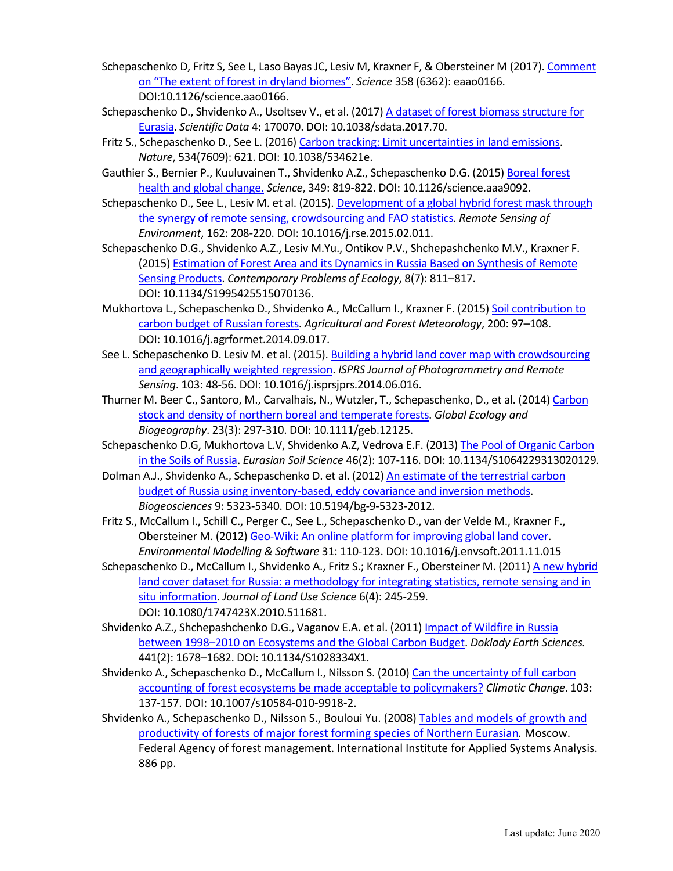- Schepaschenko D, Fritz S, See L, Laso Bayas JC, Lesiv M, Kraxner F, & Obersteiner M (2017). Comment on "The extent of forest in dryland biomes". *Science* 358 (6362): eaao0166. DOI:10.1126/science.aao0166.
- Schepaschenko D., Shvidenko A., Usoltsev V., et al. (2017) A dataset of forest biomass structure for Eurasia. *Scientific Data* 4: 170070. DOI: 10.1038/sdata.2017.70.
- Fritz S., Schepaschenko D., See L. (2016) Carbon tracking: Limit uncertainties in land emissions. *Nature*, 534(7609): 621. DOI: 10.1038/534621e.
- Gauthier S., Bernier P., Kuuluvainen T., Shvidenko A.Z., Schepaschenko D.G. (2015) Boreal forest health and global change. *Science*, 349: 819‐822. DOI: 10.1126/science.aaa9092.
- Schepaschenko D., See L., Lesiv M. et al. (2015). Development of a global hybrid forest mask through the synergy of remote sensing, crowdsourcing and FAO statistics. *Remote Sensing of Environment*, 162: 208‐220. DOI: 10.1016/j.rse.2015.02.011.
- Schepaschenko D.G., Shvidenko A.Z., Lesiv M.Yu., Ontikov P.V., Shchepashchenko M.V., Kraxner F. (2015) Estimation of Forest Area and its Dynamics in Russia Based on Synthesis of Remote Sensing Products. *Contemporary Problems of Ecology*, 8(7): 811–817. DOI: 10.1134/S1995425515070136.
- Mukhortova L., Schepaschenko D., Shvidenko A., McCallum I., Kraxner F. (2015) Soil contribution to carbon budget of Russian forests. *Agricultural and Forest Meteorology*, 200: 97–108. DOI: 10.1016/j.agrformet.2014.09.017.
- See L. Schepaschenko D. Lesiv M. et al. (2015). Building a hybrid land cover map with crowdsourcing and geographically weighted regression. *ISPRS Journal of Photogrammetry and Remote Sensing*. 103: 48‐56. DOI: 10.1016/j.isprsjprs.2014.06.016.
- Thurner M. Beer C., Santoro, M., Carvalhais, N., Wutzler, T., Schepaschenko, D., et al. (2014) Carbon stock and density of northern boreal and temperate forests. *Global Ecology and Biogeography*. 23(3): 297‐310. DOI: 10.1111/geb.12125.
- Schepaschenko D.G, Mukhortova L.V, Shvidenko A.Z, Vedrova E.F. (2013) The Pool of Organic Carbon in the Soils of Russia. *Eurasian Soil Science* 46(2): 107‐116. DOI: 10.1134/S1064229313020129.
- Dolman A.J., Shvidenko A., Schepaschenko D. et al. (2012) An estimate of the terrestrial carbon budget of Russia using inventory‐based, eddy covariance and inversion methods. *Biogeosciences* 9: 5323‐5340. DOI: 10.5194/bg‐9‐5323‐2012.
- Fritz S., McCallum I., Schill C., Perger C., See L., Schepaschenko D., van der Velde M., Kraxner F., Obersteiner M. (2012) Geo‐Wiki: An online platform for improving global land cover. *Environmental Modelling & Software* 31: 110‐123. DOI: 10.1016/j.envsoft.2011.11.015
- Schepaschenko D., McCallum I., Shvidenko A., Fritz S.; Kraxner F., Obersteiner M. (2011) A new hybrid land cover dataset for Russia: a methodology for integrating statistics, remote sensing and in situ information. *Journal of Land Use Science* 6(4): 245‐259. DOI: 10.1080/1747423X.2010.511681.
- Shvidenko A.Z., Shchepashchenko D.G., Vaganov E.A. et al. (2011) Impact of Wildfire in Russia between 1998–2010 on Ecosystems and the Global Carbon Budget. *Doklady Earth Sciences.* 441(2): 1678–1682. DOI: 10.1134/S1028334X1.
- Shvidenko A., Schepaschenko D., McCallum I., Nilsson S. (2010) Can the uncertainty of full carbon accounting of forest ecosystems be made acceptable to policymakers? *Climatic Change*. 103: 137‐157. DOI: 10.1007/s10584‐010‐9918‐2.
- Shvidenko A., Schepaschenko D., Nilsson S., Bouloui Yu. (2008) Tables and models of growth and productivity of forests of major forest forming species of Northern Eurasian*.* Moscow. Federal Agency of forest management. International Institute for Applied Systems Analysis. 886 pp.